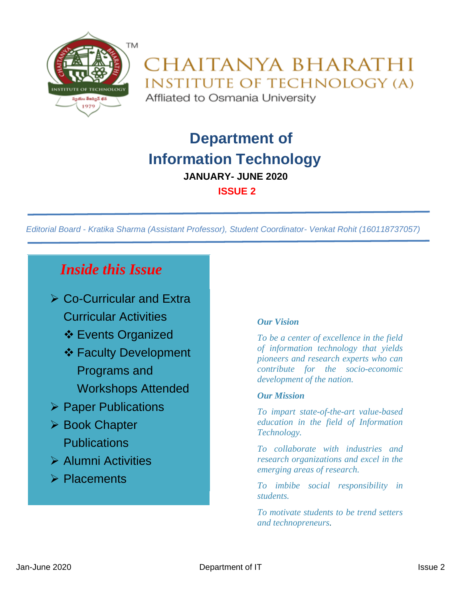

### CHAITANYA BHARATHI **INSTITUTE OF TECHNOLOGY (A)** Affliated to Osmania University

 **Department of Information Technology JANUARY- JUNE 2020 ISSUE 2**

*Editorial Board - Kratika Sharma (Assistant Professor), Student Coordinator- Venkat Rohit (160118737057)*

### *Inside this Issue*

- ➢ Co-Curricular and Extra Curricular Activities
	- ❖ Events Organized
	- ❖ Faculty Development Programs and
		- Workshops Attended
- ➢ Paper Publications
- ➢ Book Chapter **Publications**
- ➢ Alumni Activities
- ➢ Placements

#### *Our Vision*

*To be a center of excellence in the field of information technology that yields pioneers and research experts who can contribute for the socio-economic development of the nation.*

#### *Our Mission*

*To impart state-of-the-art value-based education in the field of Information Technology.*

*To collaborate with industries and research organizations and excel in the emerging areas of research.*

*To imbibe social responsibility in students.*

*To motivate students to be trend setters and technopreneurs.*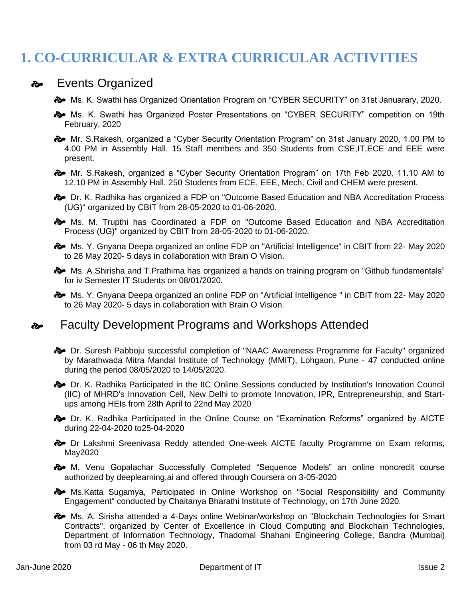## **1. CO-CURRICULAR & EXTRA CURRICULAR ACTIVITIES**

### $\rightarrow$  Events Organized

- $\clubsuit$  Ms. K. Swathi has Organized Orientation Program on "CYBER SECURITY" on 31st Januarary, 2020.
- $\clubsuit$  Ms. K. Swathi has Organized Poster Presentations on "CYBER SECURITY" competition on 19th February, 2020
- Mr. S.Rakesh, organized a "Cyber Security Orientation Program" on 31st January 2020, 1.00 PM to 4.00 PM in Assembly Hall. 15 Staff members and 350 Students from CSE,IT,ECE and EEE were present.
- Mr. S.Rakesh, organized a "Cyber Security Orientation Program" on 17th Feb 2020, 11.10 AM to 12.10 PM in Assembly Hall. 250 Students from ECE, EEE, Mech, Civil and CHEM were present.
- $\clubsuit$  Dr. K. Radhika has organized a FDP on "Outcome Based Education and NBA Accreditation Process (UG)" organized by CBIT from 28-05-2020 to 01-06-2020.
- $\clubsuit$  Ms. M. Trupthi has Coordinated a FDP on "Outcome Based Education and NBA Accreditation Process (UG)" organized by CBIT from 28-05-2020 to 01-06-2020.
- Ms. Y. Gnyana Deepa organized an online FDP on "Artificial Intelligence" in CBIT from 22- May 2020 to 26 May 2020- 5 days in collaboration with Brain O Vision.
- $\clubsuit$  Ms. A Shirisha and T. Prathima has organized a hands on training program on "Github fundamentals" for iv Semester IT Students on 08/01/2020.
- **a** Ms. Y. Gnyana Deepa organized an online FDP on "Artificial Intelligence " in CBIT from 22- May 2020 to 26 May 2020- 5 days in collaboration with Brain O Vision.

### **Bo** Faculty Development Programs and Workshops Attended

- $\triangle~$  Dr. Suresh Pabboju successful completion of "NAAC Awareness Programme for Faculty" organized by Marathwada Mitra Mandal Institute of Technology (MMIT), Lohgaon, Pune - 47 conducted online during the period 08/05/2020 to 14/05/2020.
- $\clubsuit$  Dr. K. Radhika Participated in the IIC Online Sessions conducted by Institution's Innovation Council (IIC) of MHRD's Innovation Cell, New Delhi to promote Innovation, IPR, Entrepreneurship, and Startups among HEIs from 28th April to 22nd May 2020

 Dr. K. Radhika Participated in the Online Course on "Examination Reforms" organized by AICTE during 22-04-2020 to25-04-2020

 $\clubsuit$  Dr Lakshmi Sreenivasa Reddy attended One-week AICTE faculty Programme on Exam reforms, May2020

 $\clubsuit$  M. Venu Gopalachar Successfully Completed "Sequence Models" an online noncredit course authorized by deeplearning.ai and offered through Coursera on 3-05-2020

 Ms.Katta Sugamya, Participated in Online Workshop on "Social Responsibility and Community Engagement" conducted by Chaitanya Bharathi Institute of Technology, on 17th June 2020.

 $\clubsuit$  Ms. A. Sirisha attended a 4-Days online Webinar/workshop on "Blockchain Technologies for Smart Contracts", organized by Center of Excellence in Cloud Computing and Blockchain Technologies, Department of Information Technology, Thadomal Shahani Engineering College, Bandra (Mumbai) from 03 rd May - 06 th May 2020.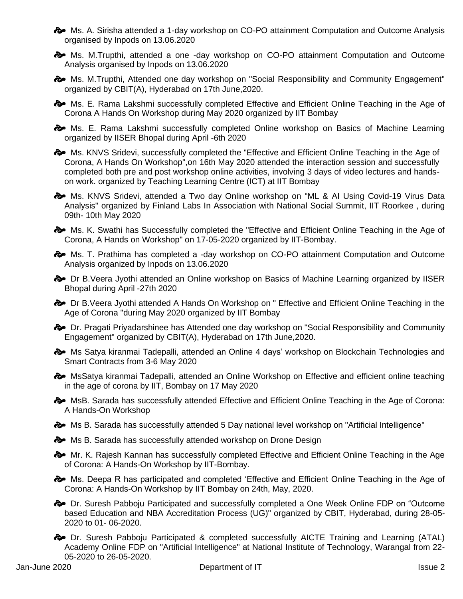$\clubsuit$  Ms. A. Sirisha attended a 1-day workshop on CO-PO attainment Computation and Outcome Analysis organised by Inpods on 13.06.2020

 Ms. M.Trupthi, attended a one -day workshop on CO-PO attainment Computation and Outcome Analysis organised by Inpods on 13.06.2020

 $\clubsuit$  Ms. M.Trupthi, Attended one day workshop on "Social Responsibility and Community Engagement" organized by CBIT(A), Hyderabad on 17th June,2020.

 $\clubsuit$  Ms. E. Rama Lakshmi successfully completed Effective and Efficient Online Teaching in the Age of Corona A Hands On Workshop during May 2020 organized by IIT Bombay

 $\clubsuit$  Ms. E. Rama Lakshmi successfully completed Online workshop on Basics of Machine Learning organized by IISER Bhopal during April -6th 2020

**Ms.** KNVS Sridevi, successfully completed the "Effective and Efficient Online Teaching in the Age of Corona, A Hands On Workshop",on 16th May 2020 attended the interaction session and successfully completed both pre and post workshop online activities, involving 3 days of video lectures and handson work. organized by Teaching Learning Centre (ICT) at IIT Bombay

 $\clubsuit$  Ms. KNVS Sridevi, attended a Two day Online workshop on "ML & AI Using Covid-19 Virus Data Analysis" organized by Finland Labs In Association with National Social Summit, IIT Roorkee , during 09th- 10th May 2020

 $\bullet\bullet$  Ms. K. Swathi has Successfully completed the "Effective and Efficient Online Teaching in the Age of Corona, A Hands on Workshop" on 17-05-2020 organized by IIT-Bombay.

 $\clubsuit$  Ms. T. Prathima has completed a -day workshop on CO-PO attainment Computation and Outcome Analysis organized by Inpods on 13.06.2020

 $\approx$  Dr B. Veera Jyothi attended an Online workshop on Basics of Machine Learning organized by IISER Bhopal during April -27th 2020

 $\clubsuit$  Dr B. Veera Jyothi attended A Hands On Workshop on " Effective and Efficient Online Teaching in the Age of Corona "during May 2020 organized by IIT Bombay

 $\clubsuit$  Dr. Pragati Priyadarshinee has Attended one day workshop on "Social Responsibility and Community Engagement" organized by CBIT(A), Hyderabad on 17th June,2020.

 $\clubsuit$  Ms Satya kiranmai Tadepalli, attended an Online 4 days' workshop on Blockchain Technologies and Smart Contracts from 3-6 May 2020

 $\diamondsuit$  MsSatya kiranmai Tadepalli, attended an Online Workshop on Effective and efficient online teaching in the age of corona by IIT, Bombay on 17 May 2020

 $\clubsuit$  MsB. Sarada has successfully attended Effective and Efficient Online Teaching in the Age of Corona: A Hands-On Workshop

 $\clubsuit$  Ms B. Sarada has successfully attended 5 Day national level workshop on "Artificial Intelligence"

 $\imath$  Ms B. Sarada has successfully attended workshop on Drone Design

 $\clubsuit$  Mr. K. Rajesh Kannan has successfully completed Effective and Efficient Online Teaching in the Age of Corona: A Hands-On Workshop by IIT-Bombay.

 $\clubsuit$  Ms. Deepa R has participated and completed 'Effective and Efficient Online Teaching in the Age of Corona: A Hands-On Workshop by IIT Bombay on 24th, May, 2020.

 Dr. Suresh Pabboju Participated and successfully completed a One Week Online FDP on "Outcome based Education and NBA Accreditation Process (UG)" organized by CBIT, Hyderabad, during 28-05- 2020 to 01- 06-2020.

 $\clubsuit$  Dr. Suresh Pabboju Participated & completed successfully AICTE Training and Learning (ATAL) Academy Online FDP on "Artificial Intelligence" at National Institute of Technology, Warangal from 22- 05-2020 to 26-05-2020.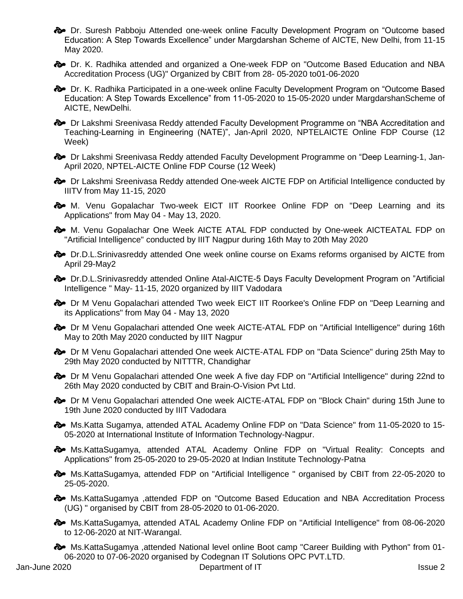Dr. Suresh Pabboju Attended one-week online Faculty Development Program on "Outcome based Education: A Step Towards Excellence" under Margdarshan Scheme of AICTE, New Delhi, from 11-15 May 2020.

 $\clubsuit$  Dr. K. Radhika attended and organized a One-week FDP on "Outcome Based Education and NBA Accreditation Process (UG)" Organized by CBIT from 28- 05-2020 to01-06-2020

 $\clubsuit$  Dr. K. Radhika Participated in a one-week online Faculty Development Program on "Outcome Based Education: A Step Towards Excellence" from 11-05-2020 to 15-05-2020 under MargdarshanScheme of AICTE, NewDelhi.

 $\clubsuit$  Dr Lakshmi Sreenivasa Reddy attended Faculty Development Programme on "NBA Accreditation and Teaching-Learning in Engineering (NATE)", Jan-April 2020, NPTELAICTE Online FDP Course (12 Week)

 $\clubsuit$  Dr Lakshmi Sreenivasa Reddy attended Faculty Development Programme on "Deep Learning-1, Jan-April 2020, NPTEL-AICTE Online FDP Course (12 Week)

 $\clubsuit$  Dr Lakshmi Sreenivasa Reddy attended One-week AICTE FDP on Artificial Intelligence conducted by IIITV from May 11-15, 2020

 $\clubsuit$  M. Venu Gopalachar Two-week EICT IIT Roorkee Online FDP on "Deep Learning and its Applications" from May 04 - May 13, 2020.

 M. Venu Gopalachar One Week AICTE ATAL FDP conducted by One-week AICTEATAL FDP on "Artificial Intelligence" conducted by IIIT Nagpur during 16th May to 20th May 2020

 $\bullet\bullet$  Dr.D.L.Srinivasreddy attended One week online course on Exams reforms organised by AICTE from April 29-May2

 $\clubsuit$  Dr.D.L.Srinivasreddy attended Online Atal-AICTE-5 Days Faculty Development Program on "Artificial Intelligence " May- 11-15, 2020 organized by IIIT Vadodara

 $\diamondsuit$  Dr M Venu Gopalachari attended Two week EICT IIT Roorkee's Online FDP on "Deep Learning and its Applications" from May 04 - May 13, 2020

 $\clubsuit$  Dr M Venu Gopalachari attended One week AICTE-ATAL FDP on "Artificial Intelligence" during 16th May to 20th May 2020 conducted by IIIT Nagpur

 $\diamondsuit$  Dr M Venu Gopalachari attended One week AICTE-ATAL FDP on "Data Science" during 25th May to 29th May 2020 conducted by NITTTR, Chandighar

 $\diamondsuit$  Dr M Venu Gopalachari attended One week A five day FDP on "Artificial Intelligence" during 22nd to 26th May 2020 conducted by CBIT and Brain-O-Vision Pvt Ltd.

 $\diamondsuit$  Dr M Venu Gopalachari attended One week AICTE-ATAL FDP on "Block Chain" during 15th June to 19th June 2020 conducted by IIIT Vadodara

 Ms.Katta Sugamya, attended ATAL Academy Online FDP on "Data Science" from 11-05-2020 to 15- 05-2020 at International Institute of Information Technology-Nagpur.

 Ms.KattaSugamya, attended ATAL Academy Online FDP on "Virtual Reality: Concepts and Applications" from 25-05-2020 to 29-05-2020 at Indian Institute Technology-Patna

 Ms.KattaSugamya, attended FDP on "Artificial Intelligence " organised by CBIT from 22-05-2020 to 25-05-2020.

 Ms.KattaSugamya ,attended FDP on "Outcome Based Education and NBA Accreditation Process (UG) " organised by CBIT from 28-05-2020 to 01-06-2020.

 Ms.KattaSugamya, attended ATAL Academy Online FDP on "Artificial Intelligence" from 08-06-2020 to 12-06-2020 at NIT-Warangal.

 Ms.KattaSugamya ,attended National level online Boot camp "Career Building with Python" from 01- 06-2020 to 07-06-2020 organised by Codegnan IT Solutions OPC PVT.LTD.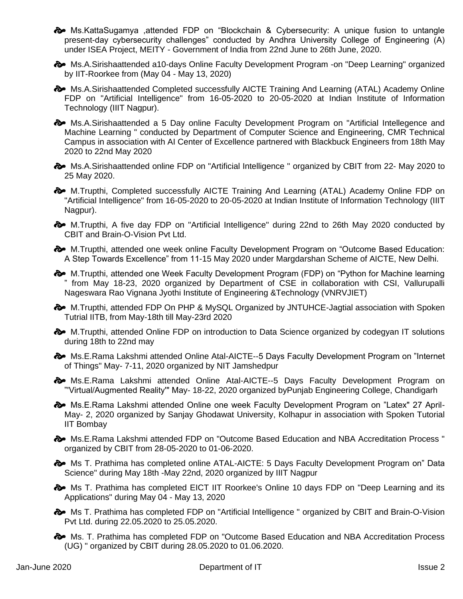- Ms.KattaSugamya ,attended FDP on "Blockchain & Cybersecurity: A unique fusion to untangle present-day cybersecurity challenges" conducted by Andhra University College of Engineering (A) under ISEA Project, MEITY - Government of India from 22nd June to 26th June, 2020.
- $\clubsuit$  Ms.A.Sirishaattended a10-days Online Faculty Development Program -on "Deep Learning" organized by IIT-Roorkee from (May 04 - May 13, 2020)
- $\clubsuit$  Ms.A.Sirishaattended Completed successfully AICTE Training And Learning (ATAL) Academy Online FDP on "Artificial Intelligence" from 16-05-2020 to 20-05-2020 at Indian Institute of Information Technology (IIIT Nagpur).
- $\clubsuit$  Ms.A.Sirishaattended a 5 Day online Faculty Development Program on "Artificial Intellegence and Machine Learning " conducted by Department of Computer Science and Engineering, CMR Technical Campus in association with AI Center of Excellence partnered with Blackbuck Engineers from 18th May 2020 to 22nd May 2020
- A Ms.A.Sirishaattended online FDP on "Artificial Intelligence " organized by CBIT from 22- May 2020 to 25 May 2020.
- M.Trupthi, Completed successfully AICTE Training And Learning (ATAL) Academy Online FDP on "Artificial Intelligence" from 16-05-2020 to 20-05-2020 at Indian Institute of Information Technology (IIIT Nagpur).
- $\clubsuit$  M.Trupthi, A five day FDP on "Artificial Intelligence" during 22nd to 26th May 2020 conducted by CBIT and Brain-O-Vision Pvt Ltd.
- $\clubsuit$  M.Trupthi, attended one week online Faculty Development Program on "Outcome Based Education: A Step Towards Excellence" from 11-15 May 2020 under Margdarshan Scheme of AICTE, New Delhi.
- M.Trupthi, attended one Week Faculty Development Program (FDP) on "Python for Machine learning " from May 18-23, 2020 organized by Department of CSE in collaboration with CSI, Vallurupalli Nageswara Rao Vignana Jyothi Institute of Engineering &Technology (VNRVJIET)
- $\clubsuit$  M.Trupthi, attended FDP On PHP & MySQL Organized by JNTUHCE-Jagtial association with Spoken Tutrial IITB, from May-18th till May-23rd 2020
- $\clubsuit$  M.Trupthi, attended Online FDP on introduction to Data Science organized by codegyan IT solutions during 18th to 22nd may
- $\clubsuit$  Ms.E.Rama Lakshmi attended Online Atal-AICTE--5 Days Faculty Development Program on "Internet of Things" May- 7-11, 2020 organized by NIT Jamshedpur
- $\clubsuit$  Ms.E.Rama Lakshmi attended Online Atal-AICTE--5 Days Faculty Development Program on "'Virtual/Augmented Reality'" May- 18-22, 2020 organized byPunjab Engineering College, Chandigarh
- Ms.E.Rama Lakshmi attended Online one week Faculty Development Program on "Latex" 27 April-May- 2, 2020 organized by Sanjay Ghodawat University, Kolhapur in association with Spoken Tutorial IIT Bombay
- Ms.E.Rama Lakshmi attended FDP on "Outcome Based Education and NBA Accreditation Process " organized by CBIT from 28-05-2020 to 01-06-2020.
- $\clubsuit$  Ms T. Prathima has completed online ATAL-AICTE: 5 Days Faculty Development Program on" Data Science" during May 18th -May 22nd, 2020 organized by IIIT Nagpur
- $\clubsuit$  Ms T. Prathima has completed EICT IIT Roorkee's Online 10 days FDP on "Deep Learning and its Applications" during May 04 - May 13, 2020
- $\clubsuit$  Ms T. Prathima has completed FDP on "Artificial Intelligence " organized by CBIT and Brain-O-Vision Pvt Ltd. during 22.05.2020 to 25.05.2020.
- $\clubsuit$  Ms. T. Prathima has completed FDP on "Outcome Based Education and NBA Accreditation Process (UG) " organized by CBIT during 28.05.2020 to 01.06.2020.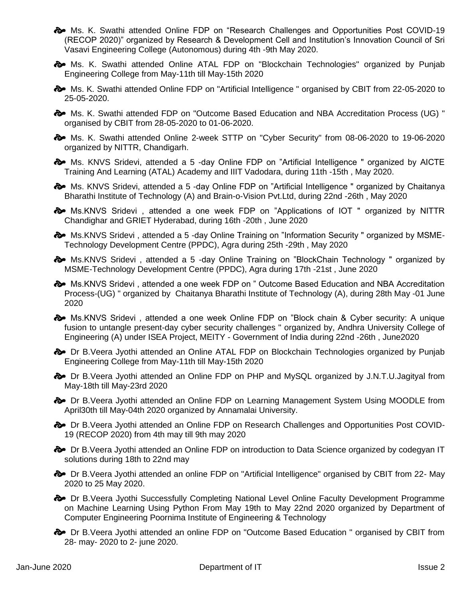- $\clubsuit$  Ms. K. Swathi attended Online FDP on "Research Challenges and Opportunities Post COVID-19 (RECOP 2020)" organized by Research & Development Cell and Institution's Innovation Council of Sri Vasavi Engineering College (Autonomous) during 4th -9th May 2020.
- $\clubsuit$  Ms. K. Swathi attended Online ATAL FDP on "Blockchain Technologies" organized by Punjab Engineering College from May-11th till May-15th 2020
- Ms. K. Swathi attended Online FDP on "Artificial Intelligence " organised by CBIT from 22-05-2020 to 25-05-2020.
- Ms. K. Swathi attended FDP on "Outcome Based Education and NBA Accreditation Process (UG) " organised by CBIT from 28-05-2020 to 01-06-2020.
- Ms. K. Swathi attended Online 2-week STTP on "Cyber Security" from 08-06-2020 to 19-06-2020 organized by NITTR, Chandigarh.
- A Ms. KNVS Sridevi, attended a 5 -day Online FDP on "Artificial Intelligence " organized by AICTE Training And Learning (ATAL) Academy and IIIT Vadodara, during 11th -15th , May 2020.
- $\clubsuit$  Ms. KNVS Sridevi, attended a 5 -day Online FDP on "Artificial Intelligence " organized by Chaitanya Bharathi Institute of Technology (A) and Brain-o-Vision Pvt.Ltd, during 22nd -26th , May 2020
- $\bullet\bullet$  Ms.KNVS Sridevi, attended a one week FDP on "Applications of IOT" organized by NITTR Chandighar and GRIET Hyderabad, during 16th -20th , June 2020
- $\clubsuit$  Ms.KNVS Sridevi, attended a 5 -day Online Training on "Information Security " organized by MSME-Technology Development Centre (PPDC), Agra during 25th -29th , May 2020
- $\clubsuit$  Ms.KNVS Sridevi, attended a 5 -day Online Training on "BlockChain Technology " organized by MSME-Technology Development Centre (PPDC), Agra during 17th -21st , June 2020
- $\clubsuit$  Ms.KNVS Sridevi, attended a one week FDP on " Outcome Based Education and NBA Accreditation Process-(UG) " organized by Chaitanya Bharathi Institute of Technology (A), during 28th May -01 June 2020
- $\clubsuit$  Ms.KNVS Sridevi, attended a one week Online FDP on "Block chain & Cyber security: A unique fusion to untangle present-day cyber security challenges " organized by, Andhra University College of Engineering (A) under ISEA Project, MEITY - Government of India during 22nd -26th , June2020
- $\clubsuit$  Dr B. Veera Jyothi attended an Online ATAL FDP on Blockchain Technologies organized by Punjab Engineering College from May-11th till May-15th 2020
- $\bullet\bullet$  Dr B. Veera Jyothi attended an Online FDP on PHP and MySQL organized by J.N.T.U. Jagityal from May-18th till May-23rd 2020
- $\clubsuit$  Dr B. Veera Jyothi attended an Online FDP on Learning Management System Using MOODLE from April30th till May-04th 2020 organized by Annamalai University.
- $\clubsuit$  Dr B. Veera Jyothi attended an Online FDP on Research Challenges and Opportunities Post COVID-19 (RECOP 2020) from 4th may till 9th may 2020
- $\clubsuit$  Dr B. Veera Jyothi attended an Online FDP on introduction to Data Science organized by codegyan IT solutions during 18th to 22nd may
- Dr B.Veera Jyothi attended an online FDP on "Artificial Intelligence" organised by CBIT from 22- May 2020 to 25 May 2020.
- $\clubsuit$  Dr B. Veera Jyothi Successfully Completing National Level Online Faculty Development Programme on Machine Learning Using Python From May 19th to May 22nd 2020 organized by Department of Computer Engineering Poornima Institute of Engineering & Technology
- Dr B.Veera Jyothi attended an online FDP on "Outcome Based Education " organised by CBIT from 28- may- 2020 to 2- june 2020.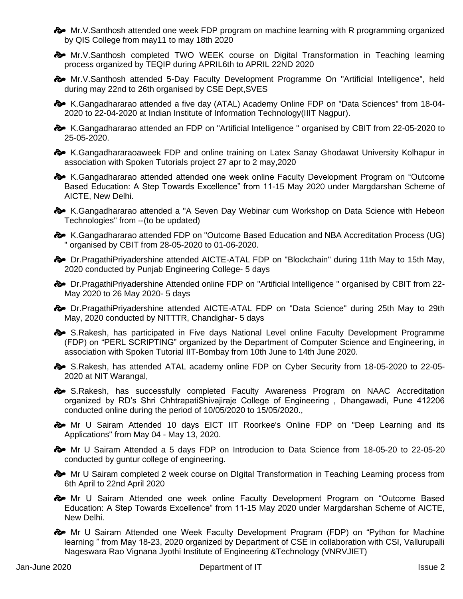$\bullet\bullet$  Mr.V.Santhosh attended one week FDP program on machine learning with R programming organized by QIS College from may11 to may 18th 2020

 Mr.V.Santhosh completed TWO WEEK course on Digital Transformation in Teaching learning process organized by TEQIP during APRIL6th to APRIL 22ND 2020

 $\bullet$  Mr.V.Santhosh attended 5-Day Faculty Development Programme On "Artificial Intelligence", held during may 22nd to 26th organised by CSE Dept,SVES

 K.Gangadhararao attended a five day (ATAL) Academy Online FDP on "Data Sciences" from 18-04- 2020 to 22-04-2020 at Indian Institute of Information Technology(IIIT Nagpur).

 $\clubsuit$  K.Gangadhararao attended an FDP on "Artificial Intelligence " organised by CBIT from 22-05-2020 to 25-05-2020.

 $\clubsuit$  K.Gangadhararaoaweek FDP and online training on Latex Sanay Ghodawat University Kolhapur in association with Spoken Tutorials project 27 apr to 2 may,2020

 K.Gangadhararao attended attended one week online Faculty Development Program on "Outcome Based Education: A Step Towards Excellence" from 11-15 May 2020 under Margdarshan Scheme of AICTE, New Delhi.

**&** K.Gangadhararao attended a "A Seven Day Webinar cum Workshop on Data Science with Hebeon Technologies" from --(to be updated)

 $\clubsuit$  K.Gangadhararao attended FDP on "Outcome Based Education and NBA Accreditation Process (UG) " organised by CBIT from 28-05-2020 to 01-06-2020.

 $\rightarrow$  Dr. PragathiPriyadershine attended AICTE-ATAL FDP on "Blockchain" during 11th May to 15th May, 2020 conducted by Punjab Engineering College- 5 days

 Dr.PragathiPriyadershine Attended online FDP on "Artificial Intelligence " organised by CBIT from 22- May 2020 to 26 May 2020- 5 days

 Dr.PragathiPriyadershine attended AICTE-ATAL FDP on "Data Science" during 25th May to 29th May, 2020 conducted by NITTTR, Chandighar- 5 days

 $\triangle~$  S.Rakesh, has participated in Five days National Level online Faculty Development Programme (FDP) on "PERL SCRIPTING" organized by the Department of Computer Science and Engineering, in association with Spoken Tutorial IIT-Bombay from 10th June to 14th June 2020.

 S.Rakesh, has attended ATAL academy online FDP on Cyber Security from 18-05-2020 to 22-05- 2020 at NIT Warangal,

 $\clubsuit$  S.Rakesh, has successfully completed Faculty Awareness Program on NAAC Accreditation organized by RD's Shri ChhtrapatiShivajiraje College of Engineering , Dhangawadi, Pune 412206 conducted online during the period of 10/05/2020 to 15/05/2020.,

 $\rightarrow$  Mr U Sairam Attended 10 days EICT IIT Roorkee's Online FDP on "Deep Learning and its Applications" from May 04 - May 13, 2020.

 Mr U Sairam Attended a 5 days FDP on Introducion to Data Science from 18-05-20 to 22-05-20 conducted by guntur college of engineering.

 $\clubsuit$  Mr U Sairam completed 2 week course on Digital Transformation in Teaching Learning process from 6th April to 22nd April 2020

 $\clubsuit$  Mr U Sairam Attended one week online Faculty Development Program on "Outcome Based Education: A Step Towards Excellence" from 11-15 May 2020 under Margdarshan Scheme of AICTE, New Delhi.

 Mr U Sairam Attended one Week Faculty Development Program (FDP) on "Python for Machine learning " from May 18-23, 2020 organized by Department of CSE in collaboration with CSI, Vallurupalli Nageswara Rao Vignana Jyothi Institute of Engineering &Technology (VNRVJIET)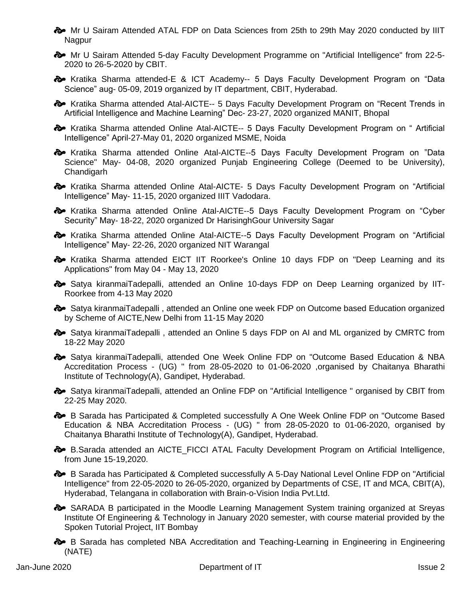$\clubsuit$  Mr U Sairam Attended ATAL FDP on Data Sciences from 25th to 29th May 2020 conducted by IIIT Nagpur

 Mr U Sairam Attended 5-day Faculty Development Programme on "Artificial Intelligence" from 22-5- 2020 to 26-5-2020 by CBIT.

 Kratika Sharma attended-E & ICT Academy-- 5 Days Faculty Development Program on "Data Science" aug- 05-09, 2019 organized by IT department, CBIT, Hyderabad.

 $\approx$  Kratika Sharma attended Atal-AICTE-- 5 Days Faculty Development Program on "Recent Trends in Artificial Intelligence and Machine Learning" Dec- 23-27, 2020 organized MANIT, Bhopal

**&** Kratika Sharma attended Online Atal-AICTE-- 5 Days Faculty Development Program on "Artificial Intelligence" April-27-May 01, 2020 organized MSME, Noida

 $\clubsuit$  Kratika Sharma attended Online Atal-AICTE--5 Days Faculty Development Program on "Data Science" May- 04-08, 2020 organized Punjab Engineering College (Deemed to be University), Chandigarh

 $\clubsuit$  Kratika Sharma attended Online Atal-AICTE- 5 Days Faculty Development Program on "Artificial Intelligence" May- 11-15, 2020 organized IIIT Vadodara.

**a** Kratika Sharma attended Online Atal-AICTE--5 Days Faculty Development Program on "Cyber Security" May- 18-22, 2020 organized Dr HarisinghGour University Sagar

 $\clubsuit$  Kratika Sharma attended Online Atal-AICTE--5 Days Faculty Development Program on "Artificial Intelligence" May- 22-26, 2020 organized NIT Warangal

 $\clubsuit$  Kratika Sharma attended EICT IIT Roorkee's Online 10 days FDP on "Deep Learning and its Applications" from May 04 - May 13, 2020

 Satya kiranmaiTadepalli, attended an Online 10-days FDP on Deep Learning organized by IIT-Roorkee from 4-13 May 2020

Satya kiranmaiTadepalli, attended an Online one week FDP on Outcome based Education organized by Scheme of AICTE,New Delhi from 11-15 May 2020

 $\clubsuit$  Satya kiranmaiTadepalli, attended an Online 5 days FDP on AI and ML organized by CMRTC from 18-22 May 2020

Satya kiranmaiTadepalli, attended One Week Online FDP on "Outcome Based Education & NBA Accreditation Process - (UG) " from 28-05-2020 to 01-06-2020 ,organised by Chaitanya Bharathi Institute of Technology(A), Gandipet, Hyderabad.

Satya kiranmaiTadepalli, attended an Online FDP on "Artificial Intelligence" organised by CBIT from 22-25 May 2020.

 $\clubsuit$  B Sarada has Participated & Completed successfully A One Week Online FDP on "Outcome Based Education & NBA Accreditation Process - (UG) " from 28-05-2020 to 01-06-2020, organised by Chaitanya Bharathi Institute of Technology(A), Gandipet, Hyderabad.

**B.** B.Sarada attended an AICTE\_FICCI ATAL Faculty Development Program on Artificial Intelligence, from June 15-19,2020.

 $\clubsuit$  B Sarada has Participated & Completed successfully A 5-Day National Level Online FDP on "Artificial Intelligence" from 22-05-2020 to 26-05-2020, organized by Departments of CSE, IT and MCA, CBIT(A), Hyderabad, Telangana in collaboration with Brain-o-Vision India Pvt.Ltd.

 SARADA B participated in the Moodle Learning Management System training organized at Sreyas Institute Of Engineering & Technology in January 2020 semester, with course material provided by the Spoken Tutorial Project, IIT Bombay

**B** B Sarada has completed NBA Accreditation and Teaching-Learning in Engineering in Engineering (NATE)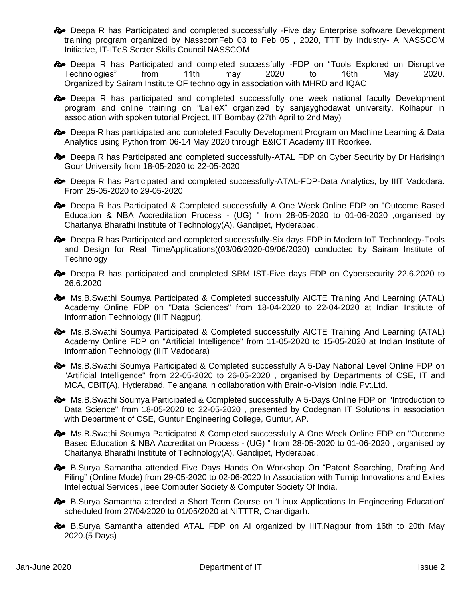$\clubsuit$  Deepa R has Participated and completed successfully -Five day Enterprise software Development training program organized by NasscomFeb 03 to Feb 05 , 2020, TTT by Industry- A NASSCOM Initiative, IT-ITeS Sector Skills Council NASSCOM

 Deepa R has Participated and completed successfully -FDP on "Tools Explored on Disruptive Technologies" from 11th may 2020 to 16th May 2020. Organized by Sairam Institute OF technology in association with MHRD and IQAC

 $\clubsuit$  Deepa R has participated and completed successfully one week national faculty Development program and online training on "LaTeX" organized by sanjayghodawat university, Kolhapur in association with spoken tutorial Project, IIT Bombay (27th April to 2nd May)

 $\triangleright$  Deepa R has participated and completed Faculty Development Program on Machine Learning & Data Analytics using Python from 06-14 May 2020 through E&ICT Academy IIT Roorkee.

 $\clubsuit$  Deepa R has Participated and completed successfully-ATAL FDP on Cyber Security by Dr Harisingh Gour University from 18-05-2020 to 22-05-2020

 $\clubsuit$  Deepa R has Participated and completed successfully-ATAL-FDP-Data Analytics, by IIIT Vadodara. From 25-05-2020 to 29-05-2020

 $\clubsuit$  Deepa R has Participated & Completed successfully A One Week Online FDP on "Outcome Based Education & NBA Accreditation Process - (UG) " from 28-05-2020 to 01-06-2020 ,organised by Chaitanya Bharathi Institute of Technology(A), Gandipet, Hyderabad.

 Deepa R has Participated and completed successfully-Six days FDP in Modern IoT Technology-Tools and Design for Real TimeApplications((03/06/2020-09/06/2020) conducted by Sairam Institute of **Technology** 

 $\clubsuit$  Deepa R has participated and completed SRM IST-Five days FDP on Cybersecurity 22.6.2020 to 26.6.2020

 $\clubsuit$  Ms.B.Swathi Soumya Participated & Completed successfully AICTE Training And Learning (ATAL) Academy Online FDP on "Data Sciences" from 18-04-2020 to 22-04-2020 at Indian Institute of Information Technology (IIIT Nagpur).

 $\clubsuit$  Ms.B.Swathi Soumya Participated & Completed successfully AICTE Training And Learning (ATAL) Academy Online FDP on "Artificial Intelligence" from 11-05-2020 to 15-05-2020 at Indian Institute of Information Technology (IIIT Vadodara)

 $\clubsuit$  Ms.B.Swathi Soumya Participated & Completed successfully A 5-Day National Level Online FDP on "Artificial Intelligence" from 22-05-2020 to 26-05-2020 , organised by Departments of CSE, IT and MCA, CBIT(A), Hyderabad, Telangana in collaboration with Brain-o-Vision India Pvt.Ltd.

 $\clubsuit$  Ms.B.Swathi Soumya Participated & Completed successfully A 5-Days Online FDP on "Introduction to Data Science" from 18-05-2020 to 22-05-2020 , presented by Codegnan IT Solutions in association with Department of CSE, Guntur Engineering College, Guntur, AP.

 Ms.B.Swathi Soumya Participated & Completed successfully A One Week Online FDP on "Outcome Based Education & NBA Accreditation Process - (UG) " from 28-05-2020 to 01-06-2020 , organised by Chaitanya Bharathi Institute of Technology(A), Gandipet, Hyderabad.

**B.** B.Surya Samantha attended Five Days Hands On Workshop On "Patent Searching, Drafting And Filing" (Online Mode) from 29-05-2020 to 02-06-2020 In Association with Turnip Innovations and Exiles Intellectual Services , leee Computer Society & Computer Society Of India.

**B.** B.Surya Samantha attended a Short Term Course on 'Linux Applications In Engineering Education' scheduled from 27/04/2020 to 01/05/2020 at NITTTR, Chandigarh.

 B.Surya Samantha attended ATAL FDP on AI organized by IIIT,Nagpur from 16th to 20th May 2020.(5 Days)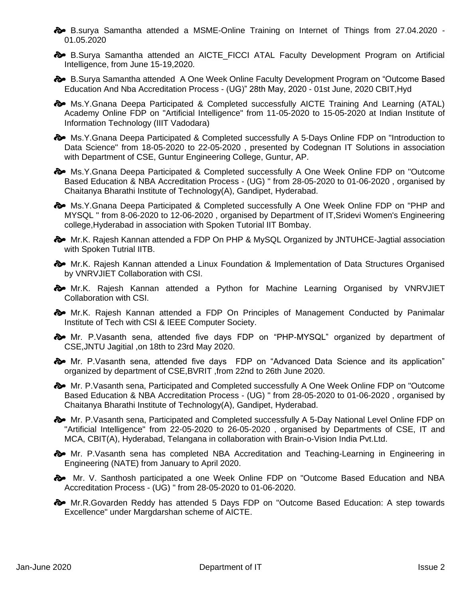- B.surya Samantha attended a MSME-Online Training on Internet of Things from 27.04.2020 01.05.2020
- **B.** B.Surya Samantha attended an AICTE FICCI ATAL Faculty Development Program on Artificial Intelligence, from June 15-19,2020.
- B.Surya Samantha attended A One Week Online Faculty Development Program on "Outcome Based Education And Nba Accreditation Process - (UG)" 28th May, 2020 - 01st June, 2020 CBIT,Hyd
- $\rightarrow$  Ms.Y.Gnana Deepa Participated & Completed successfully AICTE Training And Learning (ATAL) Academy Online FDP on "Artificial Intelligence" from 11-05-2020 to 15-05-2020 at Indian Institute of Information Technology (IIIT Vadodara)

 $\clubsuit$  Ms.Y.Gnana Deepa Participated & Completed successfully A 5-Days Online FDP on "Introduction to Data Science" from 18-05-2020 to 22-05-2020 , presented by Codegnan IT Solutions in association with Department of CSE, Guntur Engineering College, Guntur, AP.

 $\clubsuit$  Ms.Y.Gnana Deepa Participated & Completed successfully A One Week Online FDP on "Outcome Based Education & NBA Accreditation Process - (UG) " from 28-05-2020 to 01-06-2020 , organised by Chaitanya Bharathi Institute of Technology(A), Gandipet, Hyderabad.

 $\clubsuit$  Ms.Y.Gnana Deepa Participated & Completed successfully A One Week Online FDP on "PHP and MYSQL " from 8-06-2020 to 12-06-2020 , organised by Department of IT,Sridevi Women's Engineering college,Hyderabad in association with Spoken Tutorial IIT Bombay.

 $\clubsuit$  Mr.K. Rajesh Kannan attended a FDP On PHP & MySQL Organized by JNTUHCE-Jagtial association with Spoken Tutrial IITB.

- $\bullet$  Mr.K. Rajesh Kannan attended a Linux Foundation & Implementation of Data Structures Organised by VNRVJIET Collaboration with CSI.
- $\bullet$  Mr.K. Rajesh Kannan attended a Python for Machine Learning Organised by VNRVJIET Collaboration with CSI.
- $\clubsuit$  Mr.K. Rajesh Kannan attended a FDP On Principles of Management Conducted by Panimalar Institute of Tech with CSI & IEEE Computer Society.
- Mr. P.Vasanth sena, attended five days FDP on "PHP-MYSQL" organized by department of CSE,JNTU Jagitial ,on 18th to 23rd May 2020.
- $\clubsuit$  Mr. P. Vasanth sena, attended five days FDP on "Advanced Data Science and its application" organized by department of CSE,BVRIT ,from 22nd to 26th June 2020.
- $\clubsuit$  Mr. P.Vasanth sena, Participated and Completed successfully A One Week Online FDP on "Outcome" Based Education & NBA Accreditation Process - (UG) " from 28-05-2020 to 01-06-2020 , organised by Chaitanya Bharathi Institute of Technology(A), Gandipet, Hyderabad.
- $\clubsuit$  Mr. P. Vasanth sena, Participated and Completed successfully A 5-Day National Level Online FDP on "Artificial Intelligence" from 22-05-2020 to 26-05-2020 , organised by Departments of CSE, IT and MCA, CBIT(A), Hyderabad, Telangana in collaboration with Brain-o-Vision India Pvt.Ltd.
- $\clubsuit$  Mr. P. Vasanth sena has completed NBA Accreditation and Teaching-Learning in Engineering in Engineering (NATE) from January to April 2020.
- $\clubsuit$  Mr. V. Santhosh participated a one Week Online FDP on "Outcome Based Education and NBA Accreditation Process - (UG) " from 28-05-2020 to 01-06-2020.
- Mr.R.Govarden Reddy has attended 5 Days FDP on "Outcome Based Education: A step towards Excellence" under Margdarshan scheme of AICTE.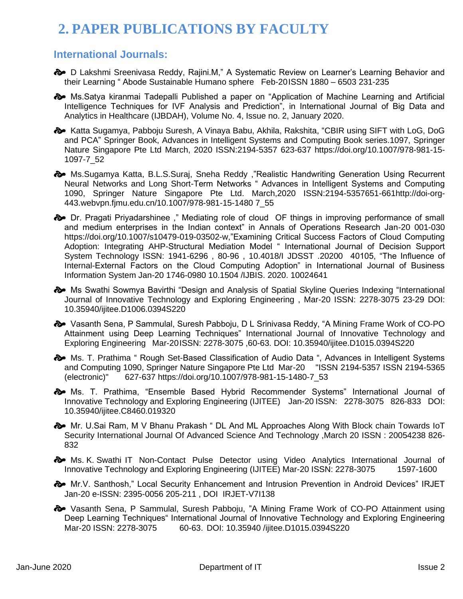## **2. PAPER PUBLICATIONS BY FACULTY**

#### **International Journals:**

 $\clubsuit$  D Lakshmi Sreenivasa Reddy, Rajini.M," A Systematic Review on Learner's Learning Behavior and their Learning " Abode Sustainable Humano sphere Feb-20ISSN 1880 – 6503 231-235

 Ms.Satya kiranmai Tadepalli Published a paper on "Application of Machine Learning and Artificial Intelligence Techniques for IVF Analysis and Prediction", in International Journal of Big Data and Analytics in Healthcare (IJBDAH), Volume No. 4, Issue no. 2, January 2020.

**Example Xatta Sugamya, Pabboju Suresh, A Vinaya Babu, Akhila, Rakshita, "CBIR using SIFT with LoG, DoG** and PCA" Springer Book, Advances in Intelligent Systems and Computing Book series.1097, Springer Nature Singapore Pte Ltd March, 2020 ISSN:2194-5357 623-637 https://doi.org/10.1007/978-981-15- 1097-7\_52

 $\clubsuit$  Ms.Sugamya Katta, B.L.S.Suraj, Sneha Reddy ,"Realistic Handwriting Generation Using Recurrent Neural Networks and Long Short-Term Networks " Advances in Intelligent Systems and Computing 1090, Springer Nature Singapore Pte Ltd. March,2020 ISSN:2194-5357651-661http://doi-org-443.webvpn.fjmu.edu.cn/10.1007/978-981-15-1480 7\_55

 Dr. Pragati Priyadarshinee ," Mediating role of cloud OF things in improving performance of small and medium enterprises in the Indian context" in Annals of Operations Research Jan-20 001-030 [https://doi.org/10.1007/s10479-019-03502-w,](https://doi.org/10.1007/s10479-019-03502-w)"Examining Critical Success Factors of Cloud Computing Adoption: Integrating AHP-Structural Mediation Model " International Journal of Decision Support System Technology ISSN: 1941-6296 , 80-96 , 10.4018/I JDSST .20200 40105, "The Influence of Internal-External Factors on the Cloud Computing Adoption" in International Journal of Business Information System Jan-20 1746-0980 10.1504 /IJBIS. 2020. 10024641

 $\clubsuit$  Ms Swathi Sowmya Bavirthi "Design and Analysis of Spatial Skyline Queries Indexing "International Journal of Innovative Technology and Exploring Engineering , Mar-20 ISSN: 2278-3075 23-29 DOI: 10.35940/ijitee.D1006.0394S220

 $\clubsuit$  Vasanth Sena, P Sammulal, Suresh Pabboju, D L Srinivasa Reddy, "A Mining Frame Work of CO-PO Attainment using Deep Learning Techniques" International Journal of Innovative Technology and Exploring Engineering Mar-20ISSN: 2278-3075 ,60-63. DOI: 10.35940/ijitee.D1015.0394S220

 $\clubsuit$  Ms. T. Prathima " Rough Set-Based Classification of Audio Data ", Advances in Intelligent Systems and Computing 1090, Springer Nature Singapore Pte Ltd Mar-20 "ISSN 2194-5357 ISSN 2194-5365 (electronic)" 627-637 https://doi.org/10.1007/978-981-15-1480-7\_53

 Ms. T. Prathima, "Ensemble Based Hybrid Recommender Systems" International Journal of Innovative Technology and Exploring Engineering (IJITEE) Jan-20 ISSN: 2278-3075 826-833 DOI: 10.35940/ijitee.C8460.019320

 $\clubsuit$  Mr. U.Sai Ram, M V Bhanu Prakash " DL And ML Approaches Along With Block chain Towards IoT Security International Journal Of Advanced Science And Technology ,March 20 ISSN : 20054238 826- 832

 $\bullet$  Ms. K. Swathi IT Non-Contact Pulse Detector using Video Analytics International Journal of Innovative Technology and Exploring Engineering (IJITEE) Mar-20 ISSN: 2278-3075 1597-1600

 $\clubsuit$  Mr.V. Santhosh," Local Security Enhancement and Intrusion Prevention in Android Devices" IRJET Jan-20 e-ISSN: 2395-0056 205-211 , DOI IRJET-V7I138

 Vasanth Sena, P Sammulal, Suresh Pabboju, "A Mining Frame Work of CO-PO Attainment using Deep Learning Techniques" International Journal of Innovative Technology and Exploring Engineering Mar-20 ISSN: 2278-3075 60-63. DOI: 10.35940 /ijitee.D1015.0394S220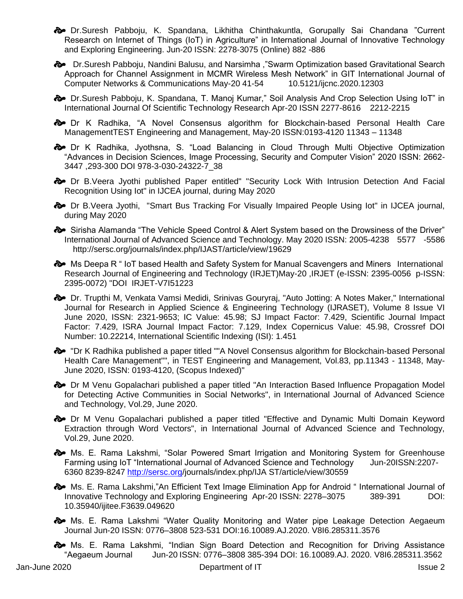$\clubsuit$  Dr.Suresh Pabboju, K. Spandana, Likhitha Chinthakuntla, Gorupally Sai Chandana "Current Research on Internet of Things (IoT) in Agriculture" in International Journal of Innovative Technology and Exploring Engineering. Jun-20 ISSN: 2278-3075 (Online) 882 -886

 $\odot$  Dr.Suresh Pabboju, Nandini Balusu, and Narsimha ,"Swarm Optimization based Gravitational Search Approach for Channel Assignment in MCMR Wireless Mesh Network" in GIT International Journal of Computer Networks & Communications May-20 41-54 10.5121/ijcnc.2020.12303

 Dr.Suresh Pabboju, K. Spandana, T. Manoj Kumar," Soil Analysis And Crop Selection Using IoT" in International Journal Of Scientific Technology Research Apr-20 ISSN 2277-8616 2212-2215

 Dr K Radhika, "A Novel Consensus algorithm for Blockchain-based Personal Health Care ManagementTEST Engineering and Management, May-20 ISSN:0193-4120 11343 – 11348

 $\clubsuit$  Dr K Radhika, Jyothsna, S. "Load Balancing in Cloud Through Multi Objective Optimization "Advances in Decision Sciences, Image Processing, Security and Computer Vision" 2020 ISSN: 2662- 3447 ,293-300 DOI 978-3-030-24322-7\_38

 Dr B.Veera Jyothi published Paper entitled" "Security Lock With Intrusion Detection And Facial Recognition Using Iot" in IJCEA journal, during May 2020

 $\diamondsuit$  Dr B. Veera Jyothi, "Smart Bus Tracking For Visually Impaired People Using lot" in IJCEA journal, during May 2020

 Sirisha Alamanda "The Vehicle Speed Control & Alert System based on the Drowsiness of the Driver" International Journal of Advanced Science and Technology. May 2020 ISSN: 2005-4238 5577 -5586 http://sersc.org/journals/index.php/IJAST/article/view/19629

**A** Ms Deepa R " Io T based Health and Safety System for Manual Scavengers and Miners International Research Journal of Engineering and Technology (IRJET)May-20 ,IRJET (e-ISSN: 2395-0056 p-ISSN: 2395-0072) "DOI IRJET-V7I51223

 Dr. Trupthi M, Venkata Vamsi Medidi, Srinivas Gouryraj, "Auto Jotting: A Notes Maker," International Journal for Research in Applied Science & Engineering Technology (IJRASET), Volume 8 Issue VI June 2020, ISSN: 2321-9653; IC Value: 45.98; SJ Impact Factor: 7.429, Scientific Journal Impact Factor: 7.429, ISRA Journal Impact Factor: 7.129, Index Copernicus Value: 45.98, Crossref DOI Number: 10.22214, International Scientific Indexing (ISI): 1.451

 $\rightarrow$  "Dr K Radhika published a paper titled ""A Novel Consensus algorithm for Blockchain-based Personal Health Care Management"", in TEST Engineering and Management, Vol.83, pp.11343 - 11348, May-June 2020, ISSN: 0193-4120, (Scopus Indexed)"

 $\clubsuit$  Dr M Venu Gopalachari published a paper titled "An Interaction Based Influence Propagation Model for Detecting Active Communities in Social Networks", in International Journal of Advanced Science and Technology, Vol.29, June 2020.

 $\diamondsuit$  Dr M Venu Gopalachari published a paper titled "Effective and Dynamic Multi Domain Keyword Extraction through Word Vectors", in International Journal of Advanced Science and Technology, Vol.29, June 2020.

 $\approx$  Ms. E. Rama Lakshmi, "Solar Powered Smart Irrigation and Monitoring System for Greenhouse Farming using IoT "International Journal of Advanced Science and Technology Jun-20ISSN:2207- 6360 8239-8247 <http://sersc.org/>journals/index.php/IJA ST/article/view/30559

**Ms.** E. Rama Lakshmi,"An Efficient Text Image Elimination App for Android " International Journal of Innovative Technology and Exploring Engineering Apr-20 ISSN: 2278–3075 389-391 DOI: 10.35940/ijitee.F3639.049620

 $\clubsuit$  Ms. E. Rama Lakshmi "Water Quality Monitoring and Water pipe Leakage Detection Aegaeum Journal Jun-20 ISSN: 0776–3808 523-531 DOI:16.10089.AJ.2020. V8I6.285311.3576

 $\approx$  Ms. E. Rama Lakshmi, "Indian Sign Board Detection and Recognition for Driving Assistance "Aegaeum Journal Jun-20 ISSN: 0776–3808 385-394 DOI: 16.10089.AJ. 2020. V8I6.285311.3562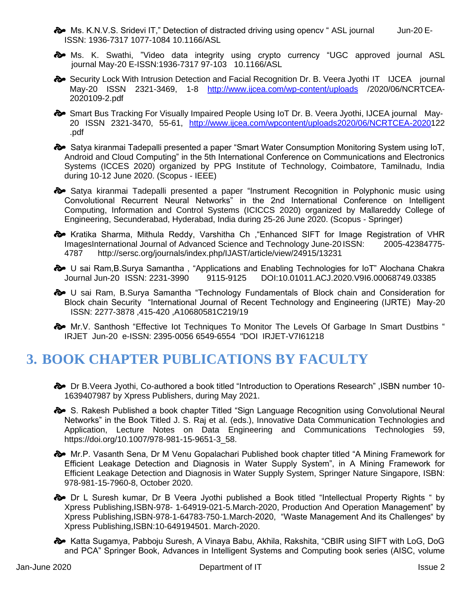**Ms.** K.N.V.S. Sridevi IT," Detection of distracted driving using opency " ASL journal Jun-20 E-ISSN: 1936-7317 1077-1084 10.1166/ASL

 Ms. K. Swathi, "Video data integrity using crypto currency "UGC approved journal ASL journal May-20 E-ISSN:1936-7317 97-103 10.1166/ASL

Security Lock With Intrusion Detection and Facial Recognition Dr. B. Veera Jyothi IT IJCEA journal May-20 ISSN 2321-3469, 1-8 <http://www.ijcea.com/wp-content/uploads> /2020/06/NCRTCEA-2020109-2.pdf

Smart Bus Tracking For Visually Impaired People Using IoT Dr. B. Veera Jyothi, IJCEA journal May-20 ISSN 2321-3470, 55-61, [http://www.ijcea.com/wpcontent/uploads2020/06/NCRTCEA-20201](http://www.ijcea.com/wpcontent/uploads2020/06/NCRTCEA-2020)22 .pdf

 Satya kiranmai Tadepalli presented a paper "Smart Water Consumption Monitoring System using IoT, Android and Cloud Computing" in the 5th International Conference on Communications and Electronics Systems (ICCES 2020) organized by PPG Institute of Technology, Coimbatore, Tamilnadu, India during 10-12 June 2020. (Scopus - IEEE)

Satya kiranmai Tadepalli presented a paper "Instrument Recognition in Polyphonic music using Convolutional Recurrent Neural Networks" in the 2nd International Conference on Intelligent Computing, Information and Control Systems (ICICCS 2020) organized by Mallareddy College of Engineering, Secunderabad, Hyderabad, India during 25-26 June 2020. (Scopus - Springer)

 Kratika Sharma, Mithula Reddy, Varshitha Ch ,"Enhanced SIFT for Image Registration of VHR ImagesInternational Journal of Advanced Science and Technology June-20 ISSN: 2005-42384775- 4787 http://sersc.org/journals/index.php/IJAST/article/view/24915/13231

 $\clubsuit$  U sai Ram, B. Surya Samantha, "Applications and Enabling Technologies for IoT" Alochana Chakra Journal Jun-20 ISSN: 2231-3990 9115-9125 DOI:10.01011.ACJ.2020.V9I6.00068749.03385

 <sup>U</sup> sai Ram, B.Surya Samantha "Technology Fundamentals of Block chain and Consideration for Block chain Security "International Journal of Recent Technology and Engineering (IJRTE) May-20 ISSN: 2277-3878 ,415-420 ,A10680581C219/19

 $\clubsuit$  Mr.V. Santhosh "Effective lot Techniques To Monitor The Levels Of Garbage In Smart Dustbins " IRJET Jun-20 e-ISSN: 2395-0056 6549-6554 "DOI IRJET-V7I61218

### **3. BOOK CHAPTER PUBLICATIONS BY FACULTY**

 Dr B.Veera Jyothi, Co-authored a book titled "Introduction to Operations Research" ,ISBN number 10- 1639407987 by Xpress Publishers, during May 2021.

S. Rakesh Published a book chapter Titled "Sign Language Recognition using Convolutional Neural Networks" in the Book Titled J. S. Raj et al. (eds.), Innovative Data Communication Technologies and Application, Lecture Notes on Data Engineering and Communications Technologies 59, [https://doi.org/10.1007/978-981-15-9651-3\\_58.](https://doi.org/10.1007/978-981-15-9651-3_58)

 $\clubsuit$  Mr.P. Vasanth Sena, Dr M Venu Gopalachari Published book chapter titled "A Mining Framework for Efficient Leakage Detection and Diagnosis in Water Supply System", in A Mining Framework for Efficient Leakage Detection and Diagnosis in Water Supply System, Springer Nature Singapore, ISBN: 978-981-15-7960-8, October 2020.

 $\diamondsuit$  Dr L Suresh kumar, Dr B Veera Jyothi published a Book titled "Intellectual Property Rights " by Xpress Publishing,ISBN-978- 1-64919-021-5.March-2020, Production And Operation Management" by Xpress Publishing,ISBN-978-1-64783-750-1.March-2020, "Waste Management And its Challenges" by Xpress Publishing,ISBN:10-649194501. March-2020.

 $\clubsuit$  Katta Sugamya, Pabboju Suresh, A Vinaya Babu, Akhila, Rakshita, "CBIR using SIFT with LoG, DoG and PCA" Springer Book, Advances in Intelligent Systems and Computing book series (AISC, volume